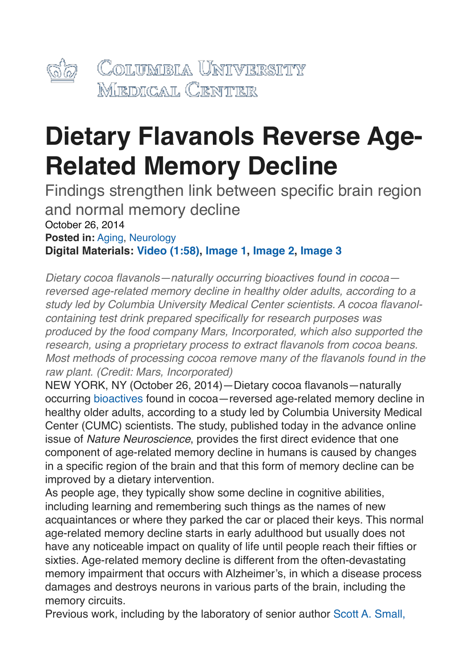

## **Dietary Flavanols Reverse Age-Related Memory Decline**

Findings strengthen link between specific brain region and normal memory decline October 26, 2014 **Posted in:** [Aging,](http://newsroom.cumc.columbia.edu/topics/aging/) [Neurology](http://newsroom.cumc.columbia.edu/topics/neurology-2/) **Digital Materials: [Video \(1:58\)](https://www.dropbox.com/s/hvqgze31di0mp2m/SMALL-Flavanols_FINAL%2520copy.mov?n=266174087), [Image 1,](mailto:http%253A//newsroom.cumc.columbia.edu/?p=30299) [Image 2,](http://newsroom.cumc.columbia.edu/?p=30298) [Image 3](http://newsroom.cumc.columbia.edu/?p=30300)**

*Dietary cocoa flavanols—naturally occurring bioactives found in cocoa reversed age-related memory decline in healthy older adults, according to a study led by Columbia University Medical Center scientists. A cocoa flavanolcontaining test drink prepared specifically for research purposes was produced by the food company Mars, Incorporated, which also supported the research, using a proprietary process to extract flavanols from cocoa beans. Most methods of processing cocoa remove many of the flavanols found in the raw plant. (Credit: Mars, Incorporated)*

NEW YORK, NY (October 26, 2014)—Dietary cocoa flavanols—naturally occurring [bioactives](http://www.myvmc.com/lifestyles/bioactives/) found in cocoa—reversed age-related memory decline in healthy older adults, according to a study led by Columbia University Medical Center (CUMC) scientists. The study, published today in the advance online issue of *Nature Neuroscience*, provides the first direct evidence that one component of age-related memory decline in humans is caused by changes in a specific region of the brain and that this form of memory decline can be improved by a dietary intervention.

As people age, they typically show some decline in cognitive abilities, including learning and remembering such things as the names of new acquaintances or where they parked the car or placed their keys. This normal age-related memory decline starts in early adulthood but usually does not have any noticeable impact on quality of life until people reach their fifties or sixties. Age-related memory decline is different from the often-devastating memory impairment that occurs with Alzheimer's, in which a disease process damages and destroys neurons in various parts of the brain, including the memory circuits.

Previous work, including by the laboratory of senior author [Scott A. Small,](http://www.cumc.columbia.edu/dept/taub/faculty-small.html)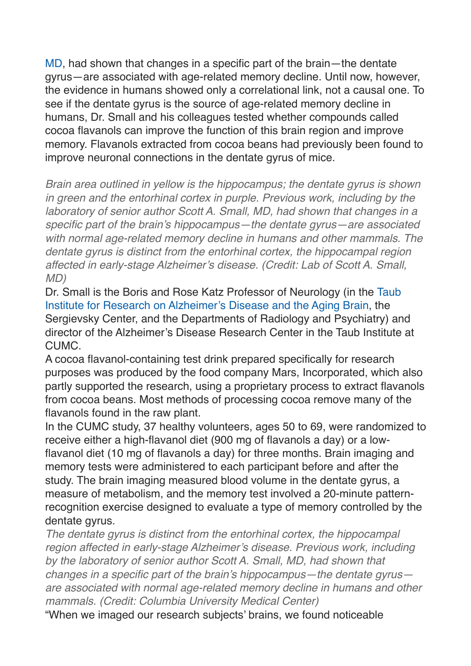[MD](http://www.cumc.columbia.edu/dept/taub/faculty-small.html), had shown that changes in a specific part of the brain—the dentate gyrus—are associated with age-related memory decline. Until now, however, the evidence in humans showed only a correlational link, not a causal one. To see if the dentate gyrus is the source of age-related memory decline in humans, Dr. Small and his colleagues tested whether compounds called cocoa flavanols can improve the function of this brain region and improve memory. Flavanols extracted from cocoa beans had previously been found to improve neuronal connections in the dentate gyrus of mice.

*Brain area outlined in yellow is the hippocampus; the dentate gyrus is shown in green and the entorhinal cortex in purple. Previous work, including by the laboratory of senior author Scott A. Small, MD, had shown that changes in a specific part of the brain's hippocampus—the dentate gyrus—are associated with normal age-related memory decline in humans and other mammals. The dentate gyrus is distinct from the entorhinal cortex, the hippocampal region affected in early-stage Alzheimer's disease. (Credit: Lab of Scott A. Small, MD)*

Dr. Small is the Boris and Rose Katz Professor of Neurology (in the [Taub](http://www.cumc.columbia.edu/dept/taub/index.html)  [Institute for Research on Alzheimer's Disease and the Aging Brain,](http://www.cumc.columbia.edu/dept/taub/index.html) the Sergievsky Center, and the Departments of Radiology and Psychiatry) and director of the Alzheimer's Disease Research Center in the Taub Institute at CUMC.

A cocoa flavanol-containing test drink prepared specifically for research purposes was produced by the food company Mars, Incorporated, which also partly supported the research, using a proprietary process to extract flavanols from cocoa beans. Most methods of processing cocoa remove many of the flavanols found in the raw plant.

In the CUMC study, 37 healthy volunteers, ages 50 to 69, were randomized to receive either a high-flavanol diet (900 mg of flavanols a day) or a lowflavanol diet (10 mg of flavanols a day) for three months. Brain imaging and memory tests were administered to each participant before and after the study. The brain imaging measured blood volume in the dentate gyrus, a measure of metabolism, and the memory test involved a 20-minute patternrecognition exercise designed to evaluate a type of memory controlled by the dentate gyrus.

*The dentate gyrus is distinct from the entorhinal cortex, the hippocampal region affected in early-stage Alzheimer's disease. Previous work, including by the laboratory of senior author Scott A. Small, MD, had shown that changes in a specific part of the brain's hippocampus—the dentate gyrus are associated with normal age-related memory decline in humans and other mammals. (Credit: Columbia University Medical Center)*

"When we imaged our research subjects' brains, we found noticeable